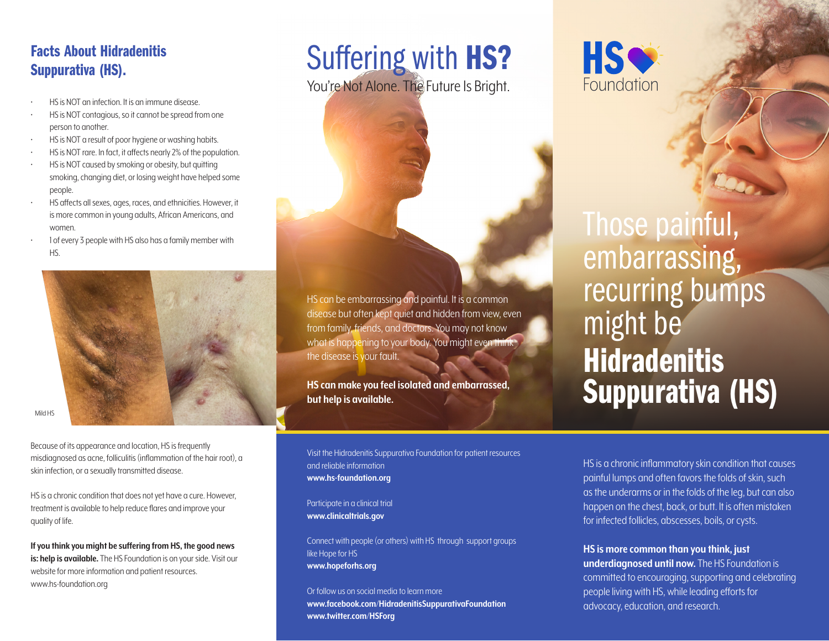### Facts About Hidradenitis Suppurativa (HS).

- HS is NOT an infection. It is an immune disease.
- HS is NOT contagious, so it cannot be spread from one person to another.
- HS is NOT a result of poor hygiene or washing habits.
- HS is NOT rare. In fact, it affects nearly 2% of the population.
- HS is NOT caused by smoking or obesity, but quitting smoking, changing diet, or losing weight have helped some people.
- HS affects all sexes, ages, races, and ethnicities. However, it is more common in young adults, African Americans, and women.
- 1 of every 3 people with HS also has a family member with HS.



Mild HS

Because of its appearance and location, HS is frequently misdiagnosed as acne, folliculitis (inflammation of the hair root), a skin infection, or a sexually transmitted disease.

HS is a chronic condition that does not yet have a cure. However, treatment is available to help reduce flares and improve your quality of life.

**If you think you might be suffering from HS, the good news is: help is available.** The HS Foundation is on your side. Visit our website for more information and patient resources. www.hs-foundation.org

# Suffering with HS?

You're Not Alone. The Future Is Bright.



## Those painful, embarrassing, recurring bumps might be **Hidradenitis** Suppurativa (HS)

HS can be embarrassing and painful. It is a common disease but often kept quiet and hidden from view, even from family, friends, and doctors. You may not know what is happening to your body. You might even think the disease is your fault.

**HS can make you feel isolated and embarrassed, but help is available.**

Visit the Hidradenitis Suppurativa Foundation for patient resources and reliable information **www.hs-foundation.org**

Participate in a clinical trial **www.clinicaltrials.gov**

Connect with people (or others) with HS through support groups like Hope for HS **www.hopeforhs.org**

Or follow us on social media to learn more **www.facebook.com/HidradenitisSuppurativaFoundation www.twitter.com/HSForg**

HS is a chronic inflammatory skin condition that causes painful lumps and often favors the folds of skin, such as the underarms or in the folds of the leg, but can also happen on the chest, back, or butt. It is often mistaken for infected follicles, abscesses, boils, or cysts.

**HS is more common than you think, just underdiagnosed until now.** The HS Foundation is committed to encouraging, supporting and celebrating people living with HS, while leading efforts for advocacy, education, and research.